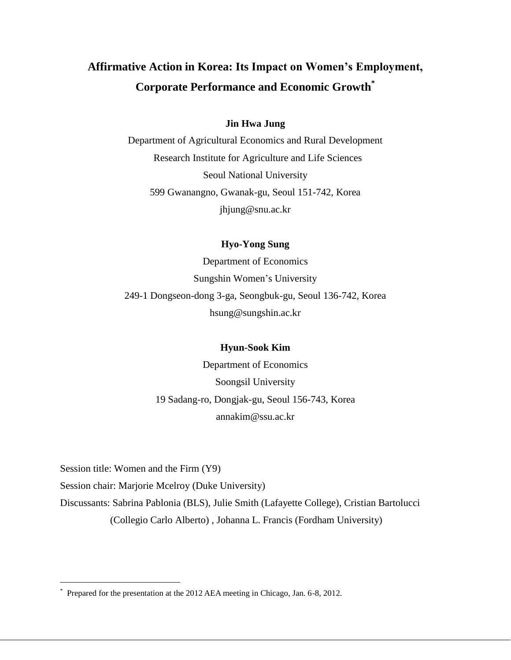# **Affirmative Action in Korea: Its Impact on Women's Employment, Corporate Performance and Economic Growth\***

# **Jin Hwa Jung**

Department of Agricultural Economics and Rural Development Research Institute for Agriculture and Life Sciences Seoul National University 599 Gwanangno, Gwanak-gu, Seoul 151-742, Korea [jhjung@snu.ac.kr](mailto:jhjung@snu.ac.kr)

# **Hyo-Yong Sung**

Department of Economics Sungshin Women's University 249-1 Dongseon-dong 3-ga, Seongbuk-gu, Seoul 136-742, Korea [hsung@sungshin.ac.kr](mailto:hsung@sungshin.ac.kr)

# **Hyun-Sook Kim**

Department of Economics Soongsil University 19 Sadang-ro, Dongjak-gu, Seoul 156-743, Korea [annakim@ssu.ac.kr](mailto:annakim@ssu.ac.kr)

Session title: Women and the Firm (Y9)

Session chair: Marjorie Mcelroy (Duke University)

Discussants: Sabrina Pablonia (BLS), Julie Smith (Lafayette College), Cristian Bartolucci (Collegio Carlo Alberto) , Johanna L. Francis (Fordham University)

<sup>\*</sup> Prepared for the presentation at the 2012 AEA meeting in Chicago, Jan. 6-8, 2012.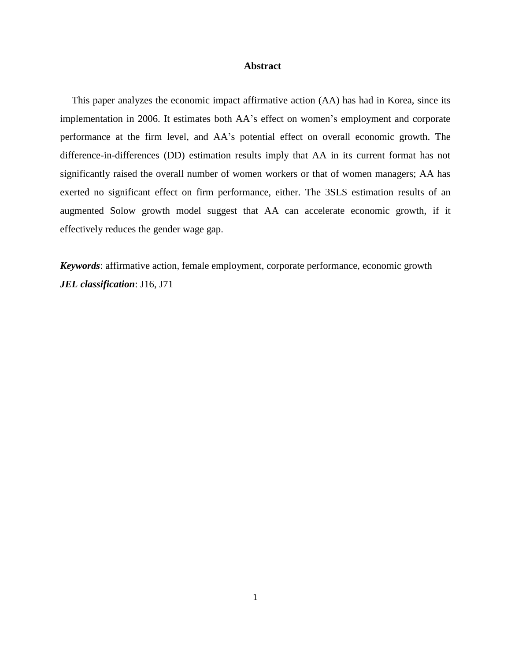#### **Abstract**

This paper analyzes the economic impact affirmative action (AA) has had in Korea, since its implementation in 2006. It estimates both AA's effect on women's employment and corporate performance at the firm level, and AA's potential effect on overall economic growth. The difference-in-differences (DD) estimation results imply that AA in its current format has not significantly raised the overall number of women workers or that of women managers; AA has exerted no significant effect on firm performance, either. The 3SLS estimation results of an augmented Solow growth model suggest that AA can accelerate economic growth, if it effectively reduces the gender wage gap.

*Keywords*: affirmative action, female employment, corporate performance, economic growth *JEL classification*: J16, J71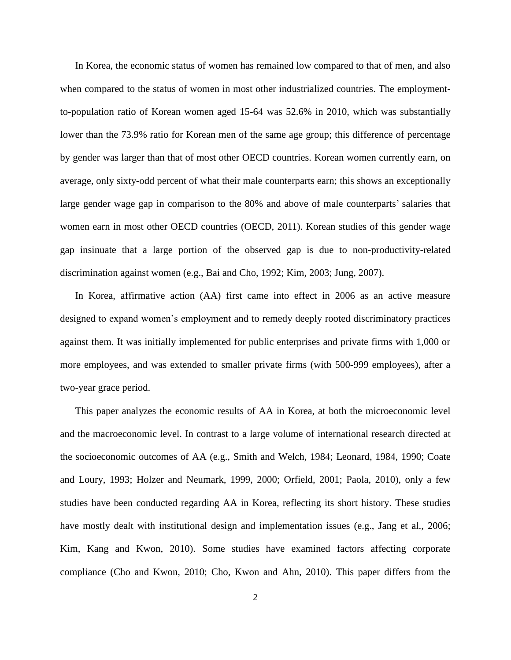In Korea, the economic status of women has remained low compared to that of men, and also when compared to the status of women in most other industrialized countries. The employmentto-population ratio of Korean women aged 15-64 was 52.6% in 2010, which was substantially lower than the 73.9% ratio for Korean men of the same age group; this difference of percentage by gender was larger than that of most other OECD countries. Korean women currently earn, on average, only sixty-odd percent of what their male counterparts earn; this shows an exceptionally large gender wage gap in comparison to the 80% and above of male counterparts' salaries that women earn in most other OECD countries (OECD, 2011). Korean studies of this gender wage gap insinuate that a large portion of the observed gap is due to non-productivity-related discrimination against women (e.g., Bai and Cho, 1992; Kim, 2003; Jung, 2007).

In Korea, affirmative action (AA) first came into effect in 2006 as an active measure designed to expand women's employment and to remedy deeply rooted discriminatory practices against them. It was initially implemented for public enterprises and private firms with 1,000 or more employees, and was extended to smaller private firms (with 500-999 employees), after a two-year grace period.

This paper analyzes the economic results of AA in Korea, at both the microeconomic level and the macroeconomic level. In contrast to a large volume of international research directed at the socioeconomic outcomes of AA (e.g., Smith and Welch, 1984; Leonard, 1984, 1990; Coate and Loury, 1993; Holzer and Neumark, 1999, 2000; Orfield, 2001; Paola, 2010), only a few studies have been conducted regarding AA in Korea, reflecting its short history. These studies have mostly dealt with institutional design and implementation issues (e.g., Jang et al., 2006; Kim, Kang and Kwon, 2010). Some studies have examined factors affecting corporate compliance (Cho and Kwon, 2010; Cho, Kwon and Ahn, 2010). This paper differs from the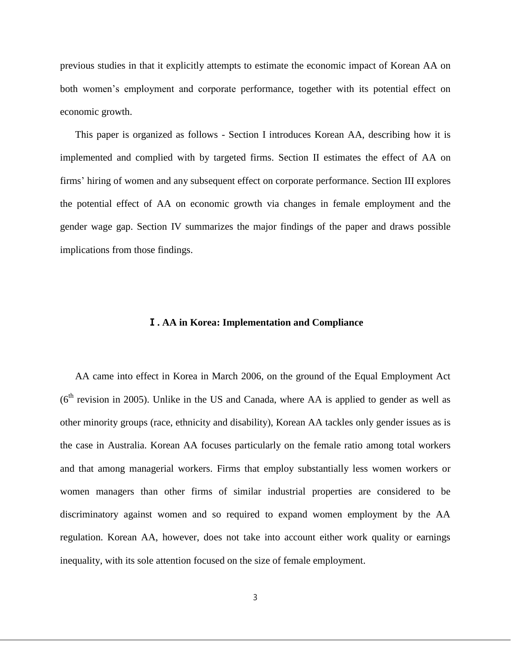previous studies in that it explicitly attempts to estimate the economic impact of Korean AA on both women's employment and corporate performance, together with its potential effect on economic growth.

This paper is organized as follows - Section I introduces Korean AA, describing how it is implemented and complied with by targeted firms. Section II estimates the effect of AA on firms' hiring of women and any subsequent effect on corporate performance. Section III explores the potential effect of AA on economic growth via changes in female employment and the gender wage gap. Section IV summarizes the major findings of the paper and draws possible implications from those findings.

# Ⅰ**. AA in Korea: Implementation and Compliance**

AA came into effect in Korea in March 2006, on the ground of the Equal Employment Act  $(6<sup>th</sup>$  revision in 2005). Unlike in the US and Canada, where AA is applied to gender as well as other minority groups (race, ethnicity and disability), Korean AA tackles only gender issues as is the case in Australia. Korean AA focuses particularly on the female ratio among total workers and that among managerial workers. Firms that employ substantially less women workers or women managers than other firms of similar industrial properties are considered to be discriminatory against women and so required to expand women employment by the AA regulation. Korean AA, however, does not take into account either work quality or earnings inequality, with its sole attention focused on the size of female employment.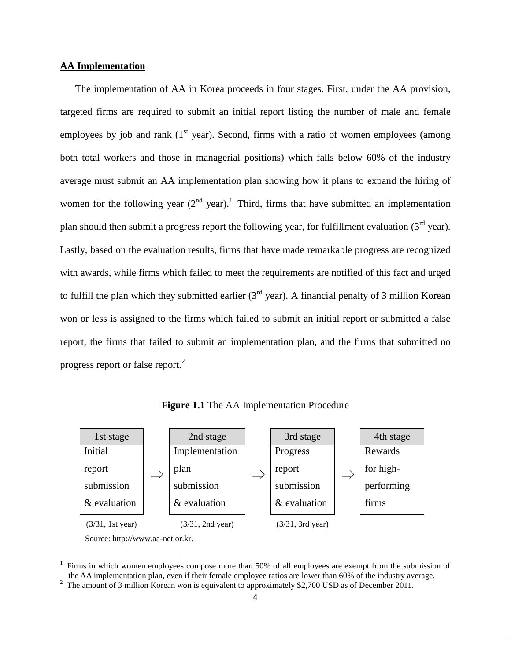# **AA Implementation**

 $\overline{a}$ 

The implementation of AA in Korea proceeds in four stages. First, under the AA provision, targeted firms are required to submit an initial report listing the number of male and female employees by job and rank  $(1<sup>st</sup> year)$ . Second, firms with a ratio of women employees (among both total workers and those in managerial positions) which falls below 60% of the industry average must submit an AA implementation plan showing how it plans to expand the hiring of women for the following year  $(2^{nd}$  year).<sup>1</sup> Third, firms that have submitted an implementation plan should then submit a progress report the following year, for fulfillment evaluation  $(3<sup>rd</sup>$  year). Lastly, based on the evaluation results, firms that have made remarkable progress are recognized with awards, while firms which failed to meet the requirements are notified of this fact and urged to fulfill the plan which they submitted earlier  $3<sup>rd</sup>$  year). A financial penalty of 3 million Korean won or less is assigned to the firms which failed to submit an initial report or submitted a false report, the firms that failed to submit an implementation plan, and the firms that submitted no progress report or false report. $^{2}$ 

**Figure 1.1** The AA Implementation Procedure



<sup>1</sup> Firms in which women employees compose more than 50% of all employees are exempt from the submission of the AA implementation plan, even if their female employee ratios are lower than 60% of the industry average.

<sup>&</sup>lt;sup>2</sup> The amount of 3 million Korean won is equivalent to approximately \$2,700 USD as of December 2011.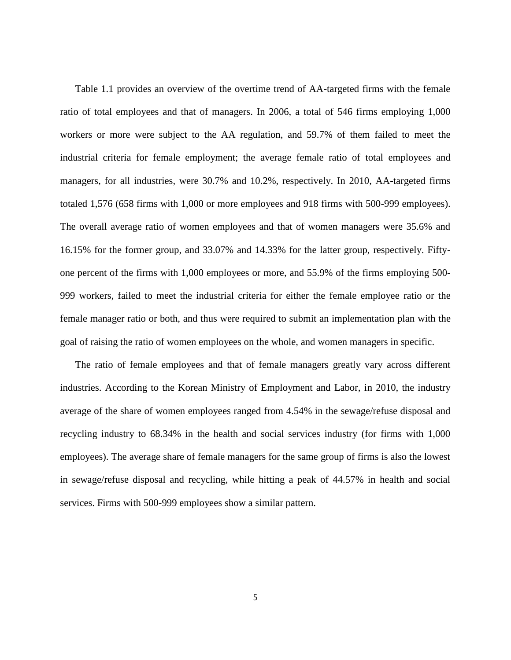Table 1.1 provides an overview of the overtime trend of AA-targeted firms with the female ratio of total employees and that of managers. In 2006, a total of 546 firms employing 1,000 workers or more were subject to the AA regulation, and 59.7% of them failed to meet the industrial criteria for female employment; the average female ratio of total employees and managers, for all industries, were 30.7% and 10.2%, respectively. In 2010, AA-targeted firms totaled 1,576 (658 firms with 1,000 or more employees and 918 firms with 500-999 employees). The overall average ratio of women employees and that of women managers were 35.6% and 16.15% for the former group, and 33.07% and 14.33% for the latter group, respectively. Fiftyone percent of the firms with 1,000 employees or more, and 55.9% of the firms employing 500- 999 workers, failed to meet the industrial criteria for either the female employee ratio or the female manager ratio or both, and thus were required to submit an implementation plan with the goal of raising the ratio of women employees on the whole, and women managers in specific.

The ratio of female employees and that of female managers greatly vary across different industries. According to the Korean Ministry of Employment and Labor, in 2010, the industry average of the share of women employees ranged from 4.54% in the sewage/refuse disposal and recycling industry to 68.34% in the health and social services industry (for firms with 1,000 employees). The average share of female managers for the same group of firms is also the lowest in sewage/refuse disposal and recycling, while hitting a peak of 44.57% in health and social services. Firms with 500-999 employees show a similar pattern.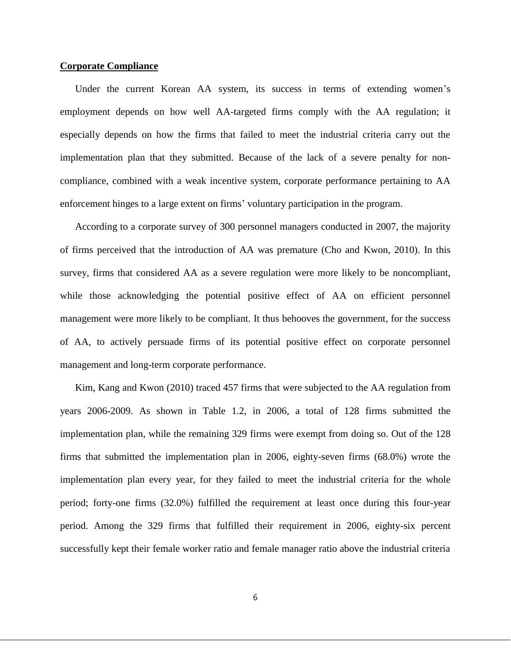#### **Corporate Compliance**

Under the current Korean AA system, its success in terms of extending women's employment depends on how well AA-targeted firms comply with the AA regulation; it especially depends on how the firms that failed to meet the industrial criteria carry out the implementation plan that they submitted. Because of the lack of a severe penalty for noncompliance, combined with a weak incentive system, corporate performance pertaining to AA enforcement hinges to a large extent on firms' voluntary participation in the program.

According to a corporate survey of 300 personnel managers conducted in 2007, the majority of firms perceived that the introduction of AA was premature (Cho and Kwon, 2010). In this survey, firms that considered AA as a severe regulation were more likely to be noncompliant, while those acknowledging the potential positive effect of AA on efficient personnel management were more likely to be compliant. It thus behooves the government, for the success of AA, to actively persuade firms of its potential positive effect on corporate personnel management and long-term corporate performance.

Kim, Kang and Kwon (2010) traced 457 firms that were subjected to the AA regulation from years 2006-2009. As shown in Table 1.2, in 2006, a total of 128 firms submitted the implementation plan, while the remaining 329 firms were exempt from doing so. Out of the 128 firms that submitted the implementation plan in 2006, eighty-seven firms (68.0%) wrote the implementation plan every year, for they failed to meet the industrial criteria for the whole period; forty-one firms (32.0%) fulfilled the requirement at least once during this four-year period. Among the 329 firms that fulfilled their requirement in 2006, eighty-six percent successfully kept their female worker ratio and female manager ratio above the industrial criteria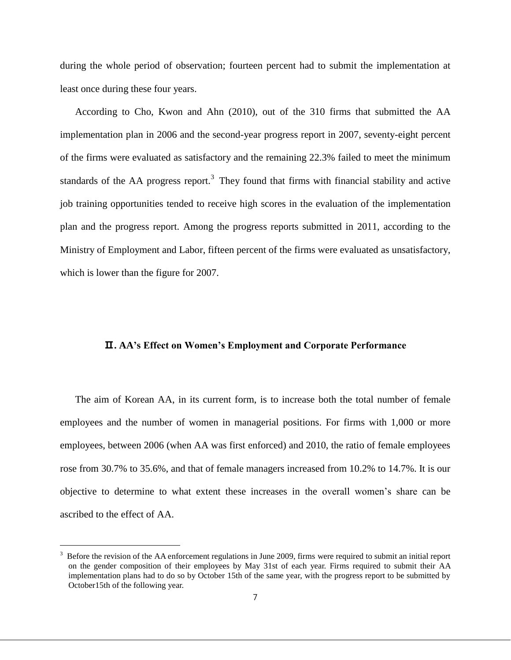during the whole period of observation; fourteen percent had to submit the implementation at least once during these four years.

According to Cho, Kwon and Ahn (2010), out of the 310 firms that submitted the AA implementation plan in 2006 and the second-year progress report in 2007, seventy-eight percent of the firms were evaluated as satisfactory and the remaining 22.3% failed to meet the minimum standards of the AA progress report.<sup>3</sup> They found that firms with financial stability and active job training opportunities tended to receive high scores in the evaluation of the implementation plan and the progress report. Among the progress reports submitted in 2011, according to the Ministry of Employment and Labor, fifteen percent of the firms were evaluated as unsatisfactory, which is lower than the figure for 2007.

# Ⅱ**. AA's Effect on Women's Employment and Corporate Performance**

The aim of Korean AA, in its current form, is to increase both the total number of female employees and the number of women in managerial positions. For firms with 1,000 or more employees, between 2006 (when AA was first enforced) and 2010, the ratio of female employees rose from 30.7% to 35.6%, and that of female managers increased from 10.2% to 14.7%. It is our objective to determine to what extent these increases in the overall women's share can be ascribed to the effect of AA.

<sup>3</sup> Before the revision of the AA enforcement regulations in June 2009, firms were required to submit an initial report on the gender composition of their employees by May 31st of each year. Firms required to submit their AA implementation plans had to do so by October 15th of the same year, with the progress report to be submitted by October15th of the following year.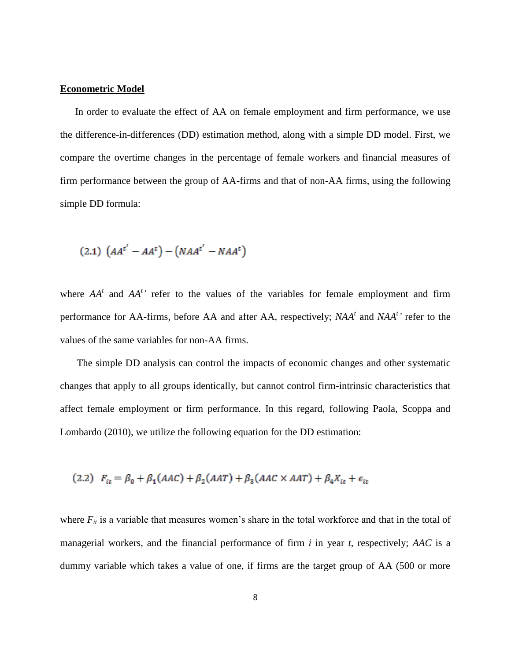### **Econometric Model**

In order to evaluate the effect of AA on female employment and firm performance, we use the difference-in-differences (DD) estimation method, along with a simple DD model. First, we compare the overtime changes in the percentage of female workers and financial measures of firm performance between the group of AA-firms and that of non-AA firms, using the following simple DD formula:

$$
(2.1)\ \left(AA^{t'}-AA^{t}\right)-\left(NAA^{t'}-NAA^{t}\right)
$$

where  $AA<sup>t</sup>$  and  $AA<sup>t</sup>$ <sup>,</sup> refer to the values of the variables for female employment and firm performance for AA-firms, before AA and after AA, respectively; *NAA<sup>t</sup>* and *NAA<sup>t</sup> '* refer to the values of the same variables for non-AA firms.

The simple DD analysis can control the impacts of economic changes and other systematic changes that apply to all groups identically, but cannot control firm-intrinsic characteristics that affect female employment or firm performance. In this regard, following Paola, Scoppa and Lombardo (2010), we utilize the following equation for the DD estimation:

(2.2) 
$$
F_{it} = \beta_0 + \beta_1(AAC) + \beta_2(AAT) + \beta_3(AAC \times AAT) + \beta_4 X_{it} + \epsilon_{it}
$$

where  $F_{it}$  is a variable that measures women's share in the total workforce and that in the total of managerial workers, and the financial performance of firm *i* in year *t*, respectively; *AAC* is a dummy variable which takes a value of one, if firms are the target group of AA (500 or more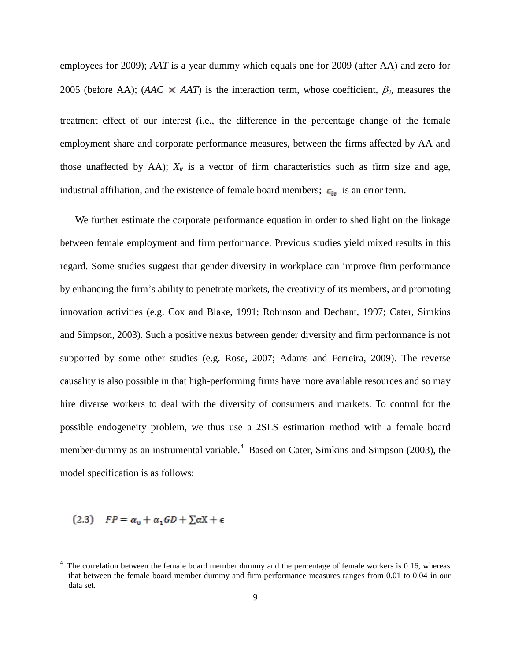employees for 2009); *AAT* is a year dummy which equals one for 2009 (after AA) and zero for 2005 (before AA); (*AAC*  $\times$  *AAT*) is the interaction term, whose coefficient,  $\beta_3$ , measures the treatment effect of our interest (i.e., the difference in the percentage change of the female employment share and corporate performance measures, between the firms affected by AA and those unaffected by AA);  $X_{it}$  is a vector of firm characteristics such as firm size and age, industrial affiliation, and the existence of female board members;  $\epsilon_{it}$  is an error term.

We further estimate the corporate performance equation in order to shed light on the linkage between female employment and firm performance. Previous studies yield mixed results in this regard. Some studies suggest that gender diversity in workplace can improve firm performance by enhancing the firm's ability to penetrate markets, the creativity of its members, and promoting innovation activities (e.g. Cox and Blake, 1991; Robinson and Dechant, 1997; Cater, Simkins and Simpson, 2003). Such a positive nexus between gender diversity and firm performance is not supported by some other studies (e.g. Rose, 2007; Adams and Ferreira, 2009). The reverse causality is also possible in that high-performing firms have more available resources and so may hire diverse workers to deal with the diversity of consumers and markets. To control for the possible endogeneity problem, we thus use a 2SLS estimation method with a female board member-dummy as an instrumental variable.<sup>4</sup> Based on Cater, Simkins and Simpson (2003), the model specification is as follows:

(2.3)  $FP = \alpha_0 + \alpha_1 GD + \sum \alpha X + \epsilon$ 

 $\overline{a}$ 

The correlation between the female board member dummy and the percentage of female workers is 0.16, whereas that between the female board member dummy and firm performance measures ranges from 0.01 to 0.04 in our data set.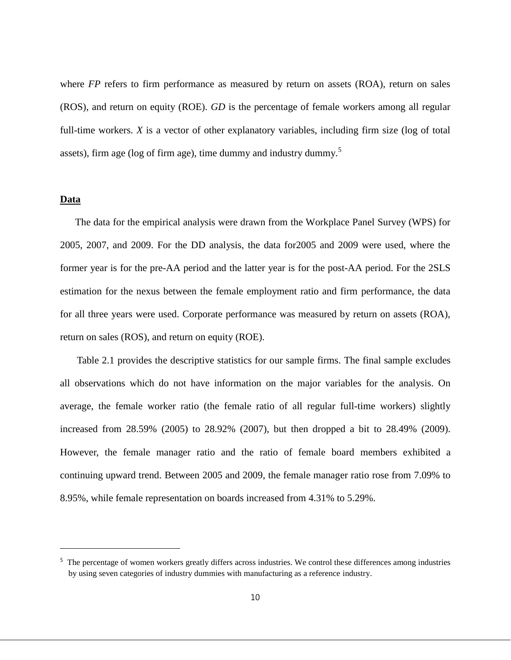where *FP* refers to firm performance as measured by return on assets (ROA), return on sales (ROS), and return on equity (ROE). *GD* is the percentage of female workers among all regular full-time workers. *X* is a vector of other explanatory variables, including firm size (log of total assets), firm age ( $log of firm age$ ), time dummy and industry dummy.<sup>5</sup>

# **Data**

 $\overline{a}$ 

The data for the empirical analysis were drawn from the Workplace Panel Survey (WPS) for 2005, 2007, and 2009. For the DD analysis, the data for2005 and 2009 were used, where the former year is for the pre-AA period and the latter year is for the post-AA period. For the 2SLS estimation for the nexus between the female employment ratio and firm performance, the data for all three years were used. Corporate performance was measured by return on assets (ROA), return on sales (ROS), and return on equity (ROE).

Table 2.1 provides the descriptive statistics for our sample firms. The final sample excludes all observations which do not have information on the major variables for the analysis. On average, the female worker ratio (the female ratio of all regular full-time workers) slightly increased from 28.59% (2005) to 28.92% (2007), but then dropped a bit to 28.49% (2009). However, the female manager ratio and the ratio of female board members exhibited a continuing upward trend. Between 2005 and 2009, the female manager ratio rose from 7.09% to 8.95%, while female representation on boards increased from 4.31% to 5.29%.

<sup>&</sup>lt;sup>5</sup> The percentage of women workers greatly differs across industries. We control these differences among industries by using seven categories of industry dummies with manufacturing as a reference industry.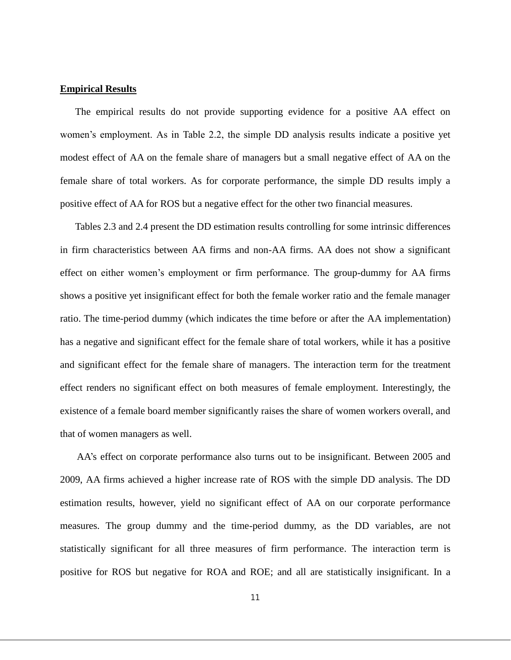#### **Empirical Results**

The empirical results do not provide supporting evidence for a positive AA effect on women's employment. As in Table 2.2, the simple DD analysis results indicate a positive yet modest effect of AA on the female share of managers but a small negative effect of AA on the female share of total workers. As for corporate performance, the simple DD results imply a positive effect of AA for ROS but a negative effect for the other two financial measures.

Tables 2.3 and 2.4 present the DD estimation results controlling for some intrinsic differences in firm characteristics between AA firms and non-AA firms. AA does not show a significant effect on either women's employment or firm performance. The group-dummy for AA firms shows a positive yet insignificant effect for both the female worker ratio and the female manager ratio. The time-period dummy (which indicates the time before or after the AA implementation) has a negative and significant effect for the female share of total workers, while it has a positive and significant effect for the female share of managers. The interaction term for the treatment effect renders no significant effect on both measures of female employment. Interestingly, the existence of a female board member significantly raises the share of women workers overall, and that of women managers as well.

AA's effect on corporate performance also turns out to be insignificant. Between 2005 and 2009, AA firms achieved a higher increase rate of ROS with the simple DD analysis. The DD estimation results, however, yield no significant effect of AA on our corporate performance measures. The group dummy and the time-period dummy, as the DD variables, are not statistically significant for all three measures of firm performance. The interaction term is positive for ROS but negative for ROA and ROE; and all are statistically insignificant. In a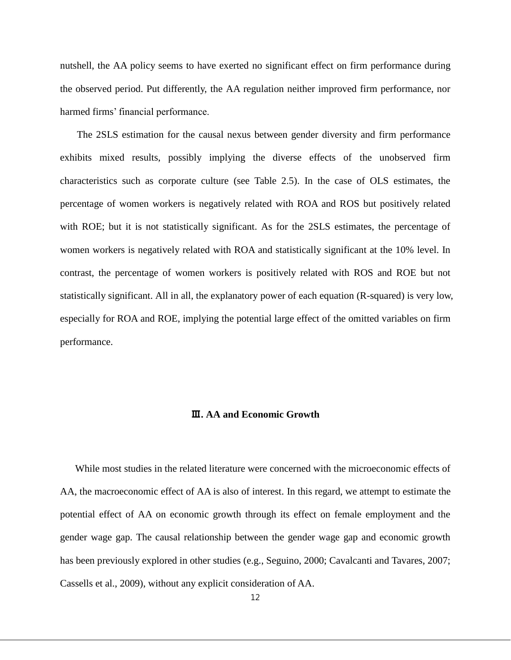nutshell, the AA policy seems to have exerted no significant effect on firm performance during the observed period. Put differently, the AA regulation neither improved firm performance, nor harmed firms' financial performance.

The 2SLS estimation for the causal nexus between gender diversity and firm performance exhibits mixed results, possibly implying the diverse effects of the unobserved firm characteristics such as corporate culture (see Table 2.5). In the case of OLS estimates, the percentage of women workers is negatively related with ROA and ROS but positively related with ROE; but it is not statistically significant. As for the 2SLS estimates, the percentage of women workers is negatively related with ROA and statistically significant at the 10% level. In contrast, the percentage of women workers is positively related with ROS and ROE but not statistically significant. All in all, the explanatory power of each equation (R-squared) is very low, especially for ROA and ROE, implying the potential large effect of the omitted variables on firm performance.

#### Ⅲ**. AA and Economic Growth**

While most studies in the related literature were concerned with the microeconomic effects of AA, the macroeconomic effect of AA is also of interest. In this regard, we attempt to estimate the potential effect of AA on economic growth through its effect on female employment and the gender wage gap. The causal relationship between the gender wage gap and economic growth has been previously explored in other studies (e.g., Seguino, 2000; Cavalcanti and Tavares, 2007; Cassells et al., 2009), without any explicit consideration of AA.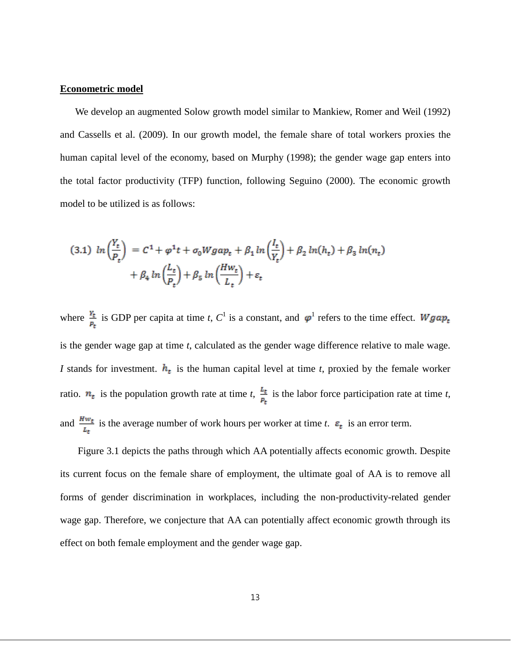#### **Econometric model**

We develop an augmented Solow growth model similar to Mankiew, Romer and Weil (1992) and Cassells et al. (2009). In our growth model, the female share of total workers proxies the human capital level of the economy, based on Murphy (1998); the gender wage gap enters into the total factor productivity (TFP) function, following Seguino (2000). The economic growth model to be utilized is as follows:

$$
(3.1) \ln\left(\frac{Y_t}{P_t}\right) = C^1 + \varphi^1 t + \sigma_0 W g a p_t + \beta_1 \ln\left(\frac{l_t}{Y_t}\right) + \beta_2 \ln(h_t) + \beta_3 \ln(n_t)
$$

$$
+ \beta_4 \ln\left(\frac{l_t}{P_t}\right) + \beta_5 \ln\left(\frac{H w_t}{L_t}\right) + \varepsilon_t
$$

where  $\frac{Y_t}{r}$  is GDP per capita at time *t*,  $C^1$  is a constant, and  $\varphi^1$  refers to the time effect. is the gender wage gap at time *t*, calculated as the gender wage difference relative to male wage. *I* stands for investment.  $h_t$  is the human capital level at time *t*, proxied by the female worker ratio.  $n_t$  is the population growth rate at time *t*,  $\frac{L_t}{P_t}$  is the labor force participation rate at time *t*, and  $\frac{Hw_t}{L_t}$  is the average number of work hours per worker at time *t*.  $\varepsilon_t$  is an error term.

Figure 3.1 depicts the paths through which AA potentially affects economic growth. Despite its current focus on the female share of employment, the ultimate goal of AA is to remove all forms of gender discrimination in workplaces, including the non-productivity-related gender wage gap. Therefore, we conjecture that AA can potentially affect economic growth through its effect on both female employment and the gender wage gap.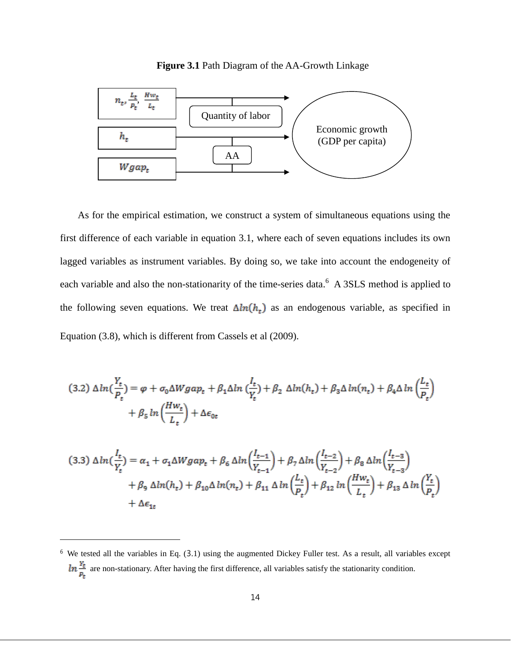



As for the empirical estimation, we construct a system of simultaneous equations using the first difference of each variable in equation 3.1, where each of seven equations includes its own lagged variables as instrument variables. By doing so, we take into account the endogeneity of each variable and also the non-stationarity of the time-series data.<sup>6</sup> A 3SLS method is applied to the following seven equations. We treat  $\Delta ln(h_t)$  as an endogenous variable, as specified in Equation (3.8), which is different from Cassels et al (2009).

$$
(3.2)\ \Delta ln(\frac{Y_t}{P_t}) = \varphi + \sigma_0 \Delta W g a p_t + \beta_1 \Delta ln(\frac{l_t}{Y_t}) + \beta_2 \ \Delta ln(h_t) + \beta_3 \Delta ln(n_t) + \beta_4 \Delta ln(\frac{l_t}{P_t})
$$

$$
+ \beta_5 ln(\frac{Hw_t}{L_t}) + \Delta \epsilon_{0t}
$$

$$
(3.3)\ \Delta ln\left(\frac{I_t}{Y_t}\right) = \alpha_1 + \sigma_1 \Delta W g a p_t + \beta_6 \Delta ln\left(\frac{I_{t-1}}{Y_{t-1}}\right) + \beta_7 \Delta ln\left(\frac{I_{t-2}}{Y_{t-2}}\right) + \beta_8 \Delta ln\left(\frac{I_{t-3}}{Y_{t-3}}\right)
$$

$$
+ \beta_9 \ \Delta ln(h_t) + \beta_{10} \Delta ln(n_t) + \beta_{11} \ \Delta ln\left(\frac{L_t}{P_t}\right) + \beta_{12} \ ln\left(\frac{Hw_t}{L_t}\right) + \beta_{13} \ \Delta ln\left(\frac{Y_t}{P_t}\right)
$$

$$
+ \Delta \epsilon_{1t}
$$

 $\overline{a}$ 

 $6$  We tested all the variables in Eq. (3.1) using the augmented Dickey Fuller test. As a result, all variables except  $\ln \frac{Y_t}{P_t}$  are non-stationary. After having the first difference, all variables satisfy the stationarity condition.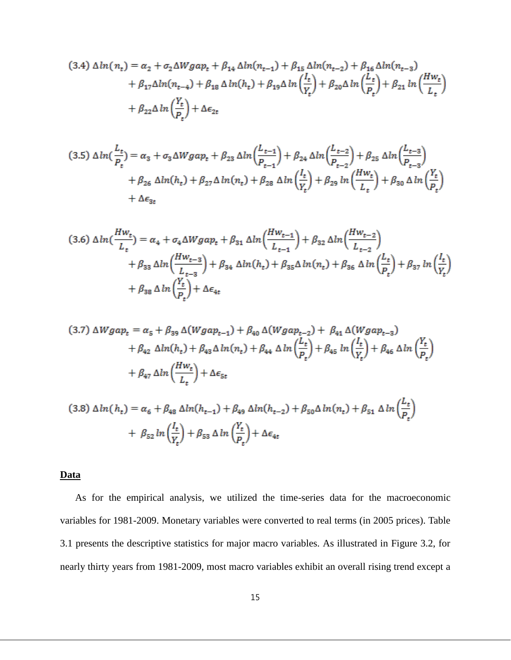$$
(3.4)\ \Delta ln(n_t) = \alpha_2 + \sigma_2 \Delta W g a p_t + \beta_{14} \Delta ln(n_{t-1}) + \beta_{15} \Delta ln(n_{t-2}) + \beta_{16} \Delta ln(n_{t-3}) + \beta_{17} \Delta ln(n_{t-4}) + \beta_{18} \Delta ln(h_t) + \beta_{19} \Delta ln\left(\frac{l_t}{V_t}\right) + \beta_{20} \Delta ln\left(\frac{l_t}{P_t}\right) + \beta_{21} \ln\left(\frac{Hw_t}{L_t}\right) + \beta_{22} \Delta ln\left(\frac{Y_t}{P_t}\right) + \Delta \epsilon_{2t}
$$

$$
(3.5)\ \Delta \ln\left(\frac{L_{t}}{P_{t}}\right) = \alpha_{3} + \sigma_{3} \Delta W g a p_{t} + \beta_{23} \Delta \ln\left(\frac{L_{t-1}}{P_{t-1}}\right) + \beta_{24} \Delta \ln\left(\frac{L_{t-2}}{P_{t-2}}\right) + \beta_{25} \Delta \ln\left(\frac{L_{t-3}}{P_{t-3}}\right) + \beta_{26} \Delta \ln(h_{t}) + \beta_{27} \Delta \ln(n_{t}) + \beta_{28} \Delta \ln\left(\frac{I_{t}}{Y_{t}}\right) + \beta_{29} \ln\left(\frac{Hw_{t}}{L_{t}}\right) + \beta_{30} \Delta \ln\left(\frac{Y_{t}}{P_{t}}\right) + \Delta \epsilon_{3t}
$$

$$
(3.6)\ \Delta ln(\frac{Hw_t}{L_t}) = \alpha_4 + \sigma_4 \Delta W g a p_t + \beta_{31} \Delta ln(\frac{Hw_{t-1}}{L_{t-1}}) + \beta_{32} \Delta ln(\frac{Hw_{t-2}}{L_{t-2}}) + \beta_{33} \Delta ln(\frac{Hw_{t-3}}{L_{t-3}}) + \beta_{34} \Delta ln(h_t) + \beta_{35} \Delta ln(n_t) + \beta_{36} \Delta ln(\frac{L_t}{P_t}) + \beta_{37} ln(\frac{L_t}{Y_t}) + \beta_{38} \Delta ln(\frac{Y_t}{P_t}) + \Delta \epsilon_{4t}
$$

$$
(3.7)\ \Delta W gap_t = \alpha_5 + \beta_{39} \Delta (W gap_{t-1}) + \beta_{40} \Delta (W gap_{t-2}) + \beta_{41} \Delta (W gap_{t-3}) + \beta_{42} \ \Delta ln(h_t) + \beta_{43} \Delta ln(n_t) + \beta_{44} \ \Delta ln\left(\frac{L_t}{P_t}\right) + \beta_{45} \ ln\left(\frac{l_t}{Y_t}\right) + \beta_{46} \ \Delta ln\left(\frac{Y_t}{P_t}\right) + \beta_{47} \ \Delta ln\left(\frac{Hw_t}{L_t}\right) + \Delta \epsilon_{5t}
$$

$$
(3.8)\ \Delta \ln(h_t) = \alpha_6 + \beta_{48} \ \Delta \ln(h_{t-1}) + \beta_{49} \ \Delta \ln(h_{t-2}) + \beta_{50} \Delta \ln(n_t) + \beta_{51} \ \Delta \ln\left(\frac{L_t}{P_t}\right) + \beta_{52} \ln\left(\frac{l_t}{Y_t}\right) + \beta_{53} \ \Delta \ln\left(\frac{Y_t}{P_t}\right) + \Delta \epsilon_{4t}
$$

# **Data**

As for the empirical analysis, we utilized the time-series data for the macroeconomic variables for 1981-2009. Monetary variables were converted to real terms (in 2005 prices). Table 3.1 presents the descriptive statistics for major macro variables. As illustrated in Figure 3.2, for nearly thirty years from 1981-2009, most macro variables exhibit an overall rising trend except a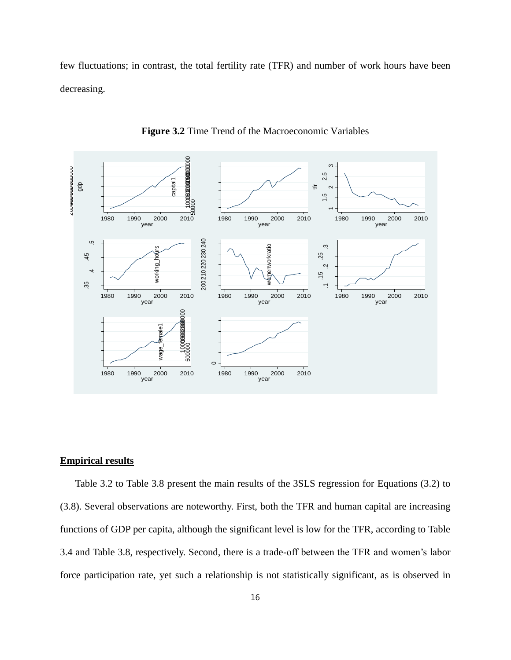few fluctuations; in contrast, the total fertility rate (TFR) and number of work hours have been decreasing.



**Figure 3.2** Time Trend of the Macroeconomic Variables

### **Empirical results**

Table 3.2 to Table 3.8 present the main results of the 3SLS regression for Equations (3.2) to (3.8). Several observations are noteworthy. First, both the TFR and human capital are increasing functions of GDP per capita, although the significant level is low for the TFR, according to Table 3.4 and Table 3.8, respectively. Second, there is a trade-off between the TFR and women's labor force participation rate, yet such a relationship is not statistically significant, as is observed in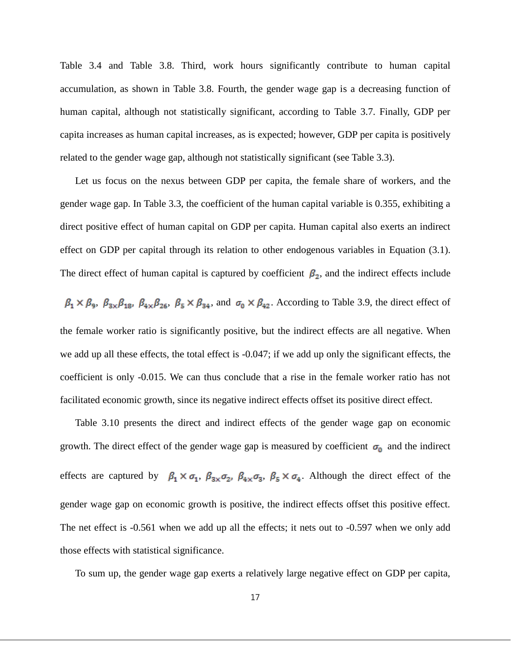Table 3.4 and Table 3.8. Third, work hours significantly contribute to human capital accumulation, as shown in Table 3.8. Fourth, the gender wage gap is a decreasing function of human capital, although not statistically significant, according to Table 3.7. Finally, GDP per capita increases as human capital increases, as is expected; however, GDP per capita is positively related to the gender wage gap, although not statistically significant (see Table 3.3).

Let us focus on the nexus between GDP per capita, the female share of workers, and the gender wage gap. In Table 3.3, the coefficient of the human capital variable is 0.355, exhibiting a direct positive effect of human capital on GDP per capita. Human capital also exerts an indirect effect on GDP per capital through its relation to other endogenous variables in Equation (3.1). The direct effect of human capital is captured by coefficient  $\beta_2$ , and the indirect effects include

 $\beta_1 \times \beta_9$ ,  $\beta_{3\times}\beta_{18}$ ,  $\beta_{4\times}\beta_{26}$ ,  $\beta_5 \times \beta_{34}$ , and  $\sigma_0 \times \beta_{42}$ . According to Table 3.9, the direct effect of the female worker ratio is significantly positive, but the indirect effects are all negative. When we add up all these effects, the total effect is -0.047; if we add up only the significant effects, the coefficient is only -0.015. We can thus conclude that a rise in the female worker ratio has not facilitated economic growth, since its negative indirect effects offset its positive direct effect.

Table 3.10 presents the direct and indirect effects of the gender wage gap on economic growth. The direct effect of the gender wage gap is measured by coefficient  $\sigma_0$  and the indirect effects are captured by  $\beta_1 \times \sigma_1$ ,  $\beta_{3 \times} \sigma_2$ ,  $\beta_{4 \times} \sigma_3$ ,  $\beta_5 \times \sigma_4$ . Although the direct effect of the gender wage gap on economic growth is positive, the indirect effects offset this positive effect. The net effect is -0.561 when we add up all the effects; it nets out to -0.597 when we only add those effects with statistical significance.

To sum up, the gender wage gap exerts a relatively large negative effect on GDP per capita,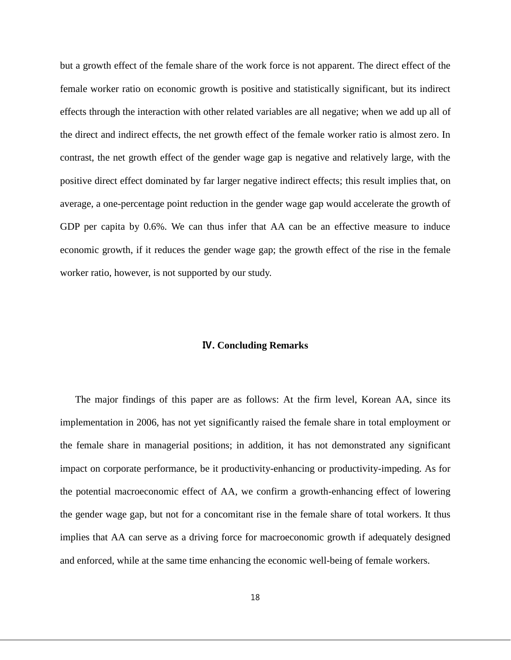but a growth effect of the female share of the work force is not apparent. The direct effect of the female worker ratio on economic growth is positive and statistically significant, but its indirect effects through the interaction with other related variables are all negative; when we add up all of the direct and indirect effects, the net growth effect of the female worker ratio is almost zero. In contrast, the net growth effect of the gender wage gap is negative and relatively large, with the positive direct effect dominated by far larger negative indirect effects; this result implies that, on average, a one-percentage point reduction in the gender wage gap would accelerate the growth of GDP per capita by 0.6%. We can thus infer that AA can be an effective measure to induce economic growth, if it reduces the gender wage gap; the growth effect of the rise in the female worker ratio, however, is not supported by our study.

#### Ⅳ**. Concluding Remarks**

The major findings of this paper are as follows: At the firm level, Korean AA, since its implementation in 2006, has not yet significantly raised the female share in total employment or the female share in managerial positions; in addition, it has not demonstrated any significant impact on corporate performance, be it productivity-enhancing or productivity-impeding. As for the potential macroeconomic effect of AA, we confirm a growth-enhancing effect of lowering the gender wage gap, but not for a concomitant rise in the female share of total workers. It thus implies that AA can serve as a driving force for macroeconomic growth if adequately designed and enforced, while at the same time enhancing the economic well-being of female workers.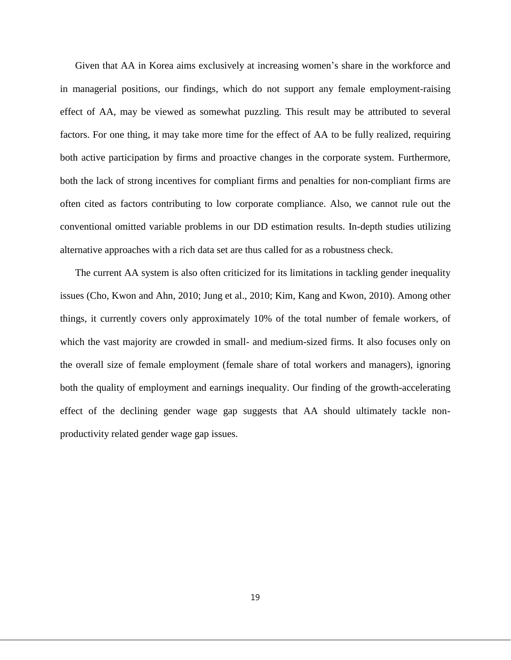Given that AA in Korea aims exclusively at increasing women's share in the workforce and in managerial positions, our findings, which do not support any female employment-raising effect of AA, may be viewed as somewhat puzzling. This result may be attributed to several factors. For one thing, it may take more time for the effect of AA to be fully realized, requiring both active participation by firms and proactive changes in the corporate system. Furthermore, both the lack of strong incentives for compliant firms and penalties for non-compliant firms are often cited as factors contributing to low corporate compliance. Also, we cannot rule out the conventional omitted variable problems in our DD estimation results. In-depth studies utilizing alternative approaches with a rich data set are thus called for as a robustness check.

The current AA system is also often criticized for its limitations in tackling gender inequality issues (Cho, Kwon and Ahn, 2010; Jung et al., 2010; Kim, Kang and Kwon, 2010). Among other things, it currently covers only approximately 10% of the total number of female workers, of which the vast majority are crowded in small- and medium-sized firms. It also focuses only on the overall size of female employment (female share of total workers and managers), ignoring both the quality of employment and earnings inequality. Our finding of the growth-accelerating effect of the declining gender wage gap suggests that AA should ultimately tackle nonproductivity related gender wage gap issues.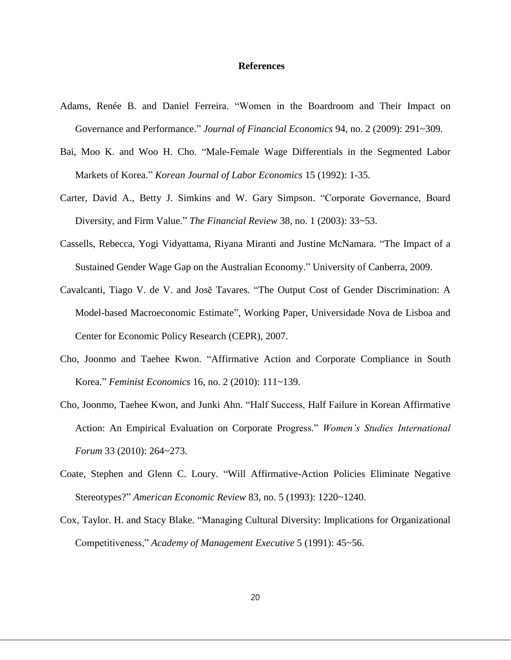### **References**

- Adams, Renée B. and Daniel Ferreira. "Women in the Boardroom and Their Impact on Governance and Performance." *Journal of Financial Economics* 94, no. 2 (2009): 291~309.
- Bai, Moo K. and Woo H. Cho. "Male-Female Wage Differentials in the Segmented Labor Markets of Korea." *Korean Journal of Labor Economics* 15 (1992): 1-35.
- Carter, David A., Betty J. Simkins and W. Gary Simpson. "Corporate Governance, Board Diversity, and Firm Value." *The Financial Review* 38, no. 1 (2003): 33~53.
- Cassells, Rebecca, Yogi Vidyattama, Riyana Miranti and Justine McNamara. "The Impact of a Sustained Gender Wage Gap on the Australian Economy." University of Canberra, 2009.
- Cavalcanti, Tiago V. de V. and Josĕ Tavares. "The Output Cost of Gender Discrimination: A Model-based Macroeconomic Estimate", Working Paper, Universidade Nova de Lisboa and Center for Economic Policy Research (CEPR), 2007.
- Cho, Joonmo and Taehee Kwon. "Affirmative Action and Corporate Compliance in South Korea." *Feminist Economics* 16, no. 2 (2010): 111~139.
- Cho, Joonmo, Taehee Kwon, and Junki Ahn. "Half Success, Half Failure in Korean Affirmative Action: An Empirical Evaluation on Corporate Progress." *Women's Studies International Forum* 33 (2010): 264~273.
- Coate, Stephen and Glenn C. Loury. "Will Affirmative-Action Policies Eliminate Negative Stereotypes?" *American Economic Review* 83, no. 5 (1993): 1220~1240.
- Cox, Taylor. H. and Stacy Blake. "Managing Cultural Diversity: Implications for Organizational Competitiveness," *Academy of Management Executive* 5 (1991): 45~56.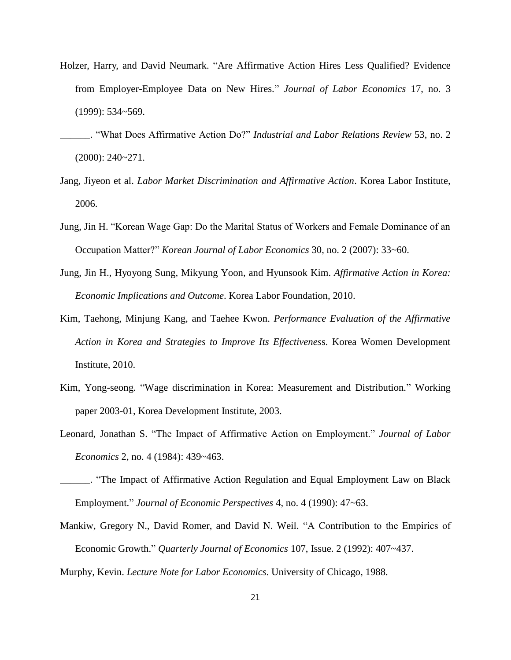- Holzer, Harry, and David Neumark. "Are Affirmative Action Hires Less Qualified? Evidence from Employer-Employee Data on New Hires." *Journal of Labor Economics* 17, no. 3 (1999): 534~569.
- \_\_\_\_\_\_. "What Does Affirmative Action Do?" *Industrial and Labor Relations Review* 53, no. 2 (2000): 240~271.
- Jang, Jiyeon et al. *Labor Market Discrimination and Affirmative Action*. Korea Labor Institute, 2006.
- Jung, Jin H. "Korean Wage Gap: Do the Marital Status of Workers and Female Dominance of an Occupation Matter?" *Korean Journal of Labor Economics* 30, no. 2 (2007): 33~60.
- Jung, Jin H., Hyoyong Sung, Mikyung Yoon, and Hyunsook Kim. *Affirmative Action in Korea: Economic Implications and Outcome*. Korea Labor Foundation, 2010.
- Kim, Taehong, Minjung Kang, and Taehee Kwon. *Performance Evaluation of the Affirmative Action in Korea and Strategies to Improve Its Effectivenes*s. Korea Women Development Institute, 2010.
- Kim, Yong-seong. "Wage discrimination in Korea: Measurement and Distribution." Working paper 2003-01, Korea Development Institute, 2003.
- Leonard, Jonathan S. "The Impact of Affirmative Action on Employment." *Journal of Labor Economics* 2, no. 4 (1984): 439~463.
- \_\_\_\_\_\_. "The Impact of Affirmative Action Regulation and Equal Employment Law on Black Employment." *Journal of Economic Perspectives* 4, no. 4 (1990): 47~63.
- Mankiw, Gregory N., David Romer, and David N. Weil. "A Contribution to the Empirics of Economic Growth." *Quarterly Journal of Economics* 107, Issue. 2 (1992): 407~437.
- Murphy, Kevin. *Lecture Note for Labor Economics*. University of Chicago, 1988.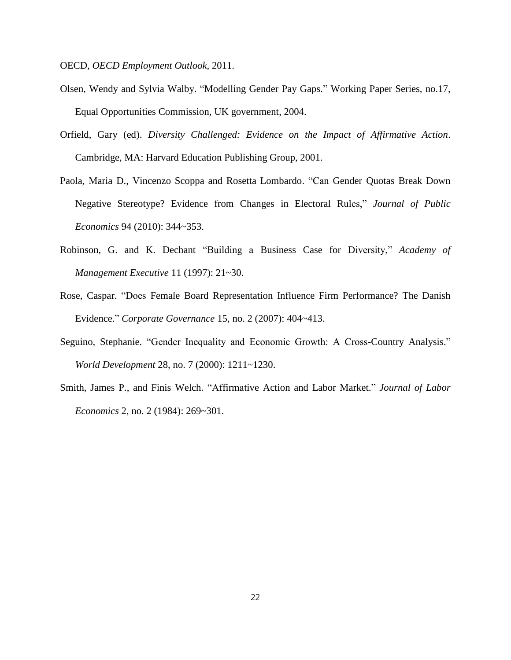OECD, *OECD Employment Outlook,* 2011.

- Olsen, Wendy and Sylvia Walby. "Modelling Gender Pay Gaps." Working Paper Series, no.17, Equal Opportunities Commission, UK government, 2004.
- Orfield, Gary (ed). *Diversity Challenged: Evidence on the Impact of Affirmative Action*. Cambridge, MA: Harvard Education Publishing Group, 2001.
- Paola, Maria D., Vincenzo Scoppa and Rosetta Lombardo. "Can Gender Quotas Break Down Negative Stereotype? Evidence from Changes in Electoral Rules," *Journal of Public Economics* 94 (2010): 344~353.
- Robinson, G. and K. Dechant "Building a Business Case for Diversity," *Academy of Management Executive* 11 (1997): 21~30.
- Rose, Caspar. "Does Female Board Representation Influence Firm Performance? The Danish Evidence." *Corporate Governance* 15, no. 2 (2007): 404~413.
- Seguino, Stephanie. "Gender Inequality and Economic Growth: A Cross-Country Analysis." *World Development* 28, no. 7 (2000): 1211~1230.
- Smith, James P., and Finis Welch. "Affirmative Action and Labor Market." *Journal of Labor Economics* 2, no. 2 (1984): 269~301.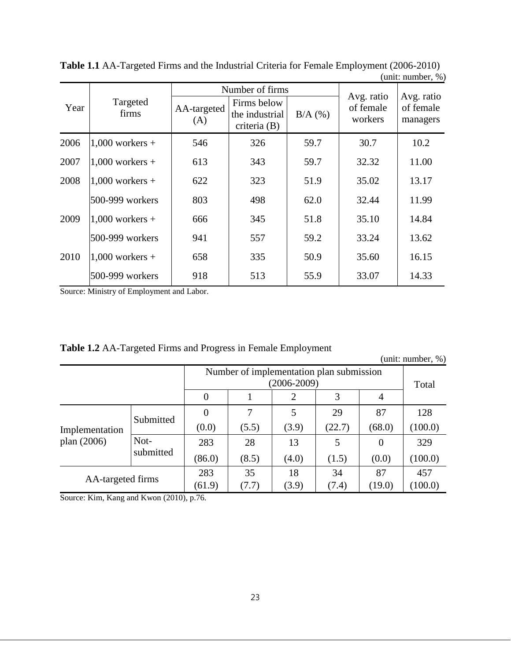|      |                   |                    | Number of firms                               |           |                                    |                                     |
|------|-------------------|--------------------|-----------------------------------------------|-----------|------------------------------------|-------------------------------------|
| Year | Targeted<br>firms | AA-targeted<br>(A) | Firms below<br>the industrial<br>criteria (B) | $B/A$ (%) | Avg. ratio<br>of female<br>workers | Avg. ratio<br>of female<br>managers |
| 2006 | $1,000$ workers + | 546                | 326                                           | 59.7      | 30.7                               | 10.2                                |
| 2007 | $1,000$ workers + | 613                | 343                                           | 59.7      | 32.32                              | 11.00                               |
| 2008 | $1,000$ workers + | 622                | 323                                           | 51.9      | 35.02                              | 13.17                               |
|      | 500-999 workers   | 803                | 498                                           | 62.0      | 32.44                              | 11.99                               |
| 2009 | $1,000$ workers + | 666                | 345                                           | 51.8      | 35.10                              | 14.84                               |
|      | 500-999 workers   | 941                | 557                                           | 59.2      | 33.24                              | 13.62                               |
| 2010 | $1,000$ workers + | 658                | 335                                           | 50.9      | 35.60                              | 16.15                               |
|      | 500-999 workers   | 918                | 513                                           | 55.9      | 33.07                              | 14.33                               |

**Table 1.1** AA-Targeted Firms and the Industrial Criteria for Female Employment (2006-2010) (unit: number, %)

Source: Ministry of Employment and Labor.

| (unit: number, $\%$ )           |           |          |                                                             |       |                |                |         |
|---------------------------------|-----------|----------|-------------------------------------------------------------|-------|----------------|----------------|---------|
|                                 |           |          | Number of implementation plan submission<br>$(2006 - 2009)$ |       |                | Total          |         |
|                                 | $\theta$  |          |                                                             | 3     | $\overline{4}$ |                |         |
|                                 | Submitted | $\theta$ | 7                                                           |       | 29             | 87             | 128     |
| Implementation<br>plan $(2006)$ |           | (0.0)    | (5.5)                                                       | (3.9) | (22.7)         | (68.0)         | (100.0) |
|                                 | Not-      | 283      | 28                                                          | 13    | 5              | $\overline{0}$ | 329     |
|                                 | submitted | (86.0)   | (8.5)                                                       | (4.0) | (1.5)          | (0.0)          | (100.0) |
| AA-targeted firms               |           | 283      | 35                                                          | 18    | 34             | 87             | 457     |
|                                 |           | (61.9)   | (7.7)                                                       | (3.9) | (7.4)          | (19.0)         | (100.0) |

**Table 1.2** AA-Targeted Firms and Progress in Female Employment

(unit: number, %)

Source: Kim, Kang and Kwon (2010), p.76.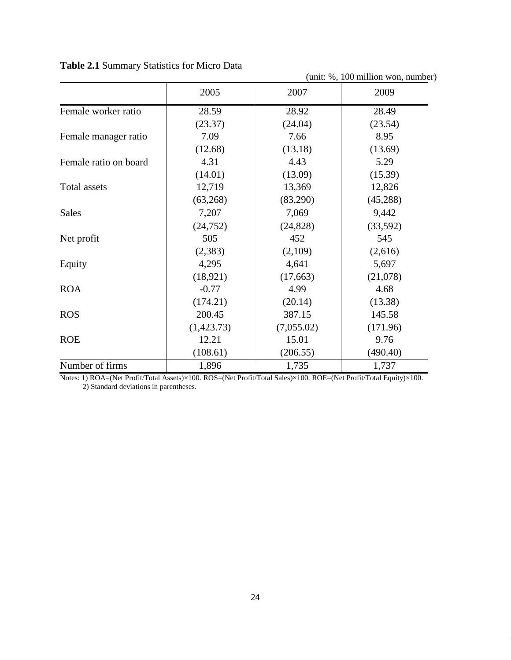|                       | (unit: %, 100 million won, number) |            |          |  |  |  |
|-----------------------|------------------------------------|------------|----------|--|--|--|
|                       | 2005                               | 2007       | 2009     |  |  |  |
| Female worker ratio   | 28.59                              | 28.92      | 28.49    |  |  |  |
|                       | (23.37)                            | (24.04)    | (23.54)  |  |  |  |
| Female manager ratio  | 7.09                               | 7.66       | 8.95     |  |  |  |
|                       | (12.68)                            | (13.18)    | (13.69)  |  |  |  |
| Female ratio on board | 4.31                               | 4.43       | 5.29     |  |  |  |
|                       | (14.01)                            | (13.09)    | (15.39)  |  |  |  |
| Total assets          | 12,719                             | 13,369     | 12,826   |  |  |  |
|                       | (63,268)                           | (83,290)   | (45,288) |  |  |  |
| Sales                 | 7,207                              | 7,069      | 9,442    |  |  |  |
|                       | (24, 752)                          | (24, 828)  | (33,592) |  |  |  |
| Net profit            | 505                                | 452        | 545      |  |  |  |
|                       | (2, 383)                           | (2,109)    | (2,616)  |  |  |  |
| Equity                | 4,295                              | 4,641      | 5,697    |  |  |  |
|                       | (18,921)                           | (17,663)   | (21,078) |  |  |  |
| <b>ROA</b>            | $-0.77$                            | 4.99       | 4.68     |  |  |  |
|                       | (174.21)                           | (20.14)    | (13.38)  |  |  |  |
| <b>ROS</b>            | 200.45                             | 387.15     | 145.58   |  |  |  |
|                       | (1,423.73)                         | (7,055.02) | (171.96) |  |  |  |
| <b>ROE</b>            | 12.21                              | 15.01      | 9.76     |  |  |  |
|                       | (108.61)                           | (206.55)   | (490.40) |  |  |  |
| Number of firms       | 1,896                              | 1,735      | 1,737    |  |  |  |

**Table 2.1** Summary Statistics for Micro Data

Notes: 1) ROA=(Net Profit/Total Assets)×100. ROS=(Net Profit/Total Sales)×100. ROE=(Net Profit/Total Equity)×100. 2) Standard deviations in parentheses.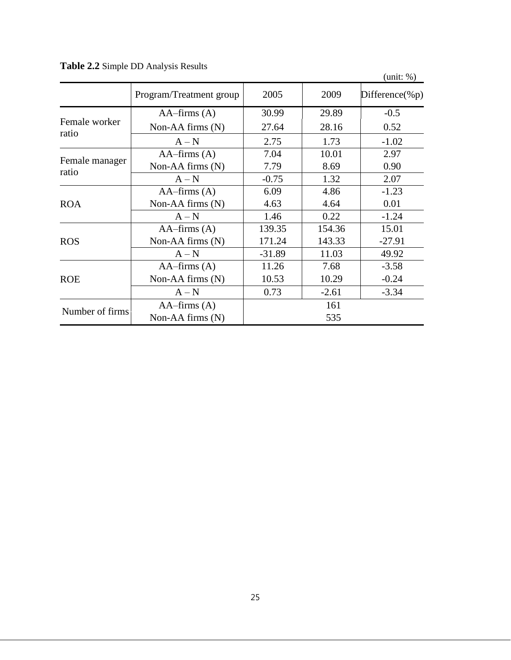|                        |                         |          |         | (unit: %)          |
|------------------------|-------------------------|----------|---------|--------------------|
|                        | Program/Treatment group | 2005     | 2009    | Difference(% $p$ ) |
|                        | $AA$ -firms $(A)$       | 30.99    | 29.89   | $-0.5$             |
| Female worker<br>ratio | Non-AA firms $(N)$      | 27.64    | 28.16   | 0.52               |
|                        | $A-N$                   | 2.75     | 1.73    | $-1.02$            |
|                        | $AA$ -firms $(A)$       | 7.04     | 10.01   | 2.97               |
| Female manager         | Non-AA firms $(N)$      | 7.79     | 8.69    | 0.90               |
| ratio                  | $A-N$                   | $-0.75$  | 1.32    | 2.07               |
|                        | $AA$ -firms $(A)$       | 6.09     | 4.86    | $-1.23$            |
| <b>ROA</b>             | Non-AA firms $(N)$      | 4.63     | 4.64    | 0.01               |
|                        | $A-N$                   | 1.46     | 0.22    | $-1.24$            |
|                        | $AA - firms (A)$        | 139.35   | 154.36  | 15.01              |
| <b>ROS</b>             | Non-AA firms $(N)$      | 171.24   | 143.33  | $-27.91$           |
|                        | $A-N$                   | $-31.89$ | 11.03   | 49.92              |
|                        | $AA$ -firms $(A)$       | 11.26    | 7.68    | $-3.58$            |
| <b>ROE</b>             | Non-AA firms $(N)$      | 10.53    | 10.29   | $-0.24$            |
|                        | $A-N$                   | 0.73     | $-2.61$ | $-3.34$            |
|                        | $AA$ -firms $(A)$       |          | 161     |                    |
| Number of firms        | Non-AA firms $(N)$      | 535      |         |                    |

**Table 2.2** Simple DD Analysis Results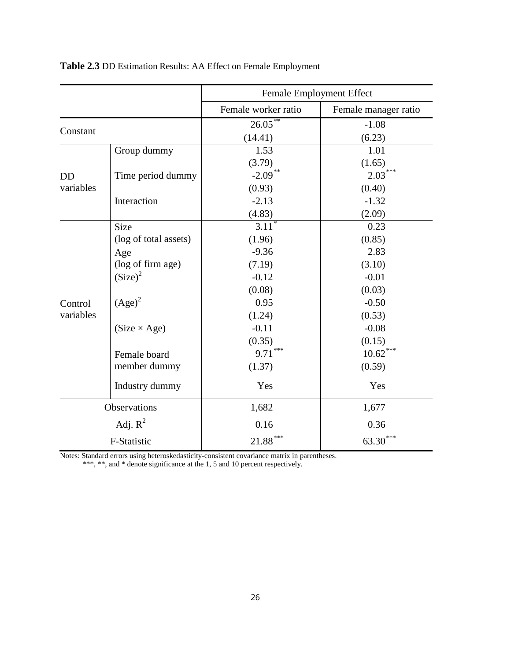|           |                       | Female Employment Effect |                      |
|-----------|-----------------------|--------------------------|----------------------|
|           |                       | Female worker ratio      | Female manager ratio |
|           |                       | $26.05***$               | $-1.08$              |
| Constant  |                       | (14.41)                  | (6.23)               |
|           | Group dummy           | 1.53                     | 1.01                 |
|           |                       | (3.79)                   | (1.65)               |
| <b>DD</b> | Time period dummy     | $-2.09$ **               | ***<br>2.03          |
| variables |                       | (0.93)                   | (0.40)               |
|           | Interaction           | $-2.13$                  | $-1.32$              |
|           |                       | (4.83)                   | (2.09)               |
|           | <b>Size</b>           | $3.11*$                  | 0.23                 |
|           | (log of total assets) | (1.96)                   | (0.85)               |
|           | Age                   | $-9.36$                  | 2.83                 |
|           | (log of firm age)     | (7.19)                   | (3.10)               |
|           | (Size) <sup>2</sup>   | $-0.12$                  | $-0.01$              |
|           |                       | (0.08)                   | (0.03)               |
| Control   | $(Age)^2$             | 0.95                     | $-0.50$              |
| variables |                       | (1.24)                   | (0.53)               |
|           | $(Size \times Age)$   | $-0.11$                  | $-0.08$              |
|           |                       | (0.35)                   | (0.15)               |
|           | Female board          | $9.71***$                | $10.62***$           |
|           | member dummy          | (1.37)                   | (0.59)               |
|           | Industry dummy        | Yes                      | Yes                  |
|           | Observations          | 1,682                    | 1,677                |
|           | Adj. $R^2$            | 0.16                     | 0.36                 |
|           | F-Statistic           | $21.88***$               | $63.30***$           |

**Table 2.3** DD Estimation Results: AA Effect on Female Employment

Notes: Standard errors using heteroskedasticity-consistent covariance matrix in parentheses.

\*\*\*, \*\*, and \* denote significance at the 1, 5 and 10 percent respectively.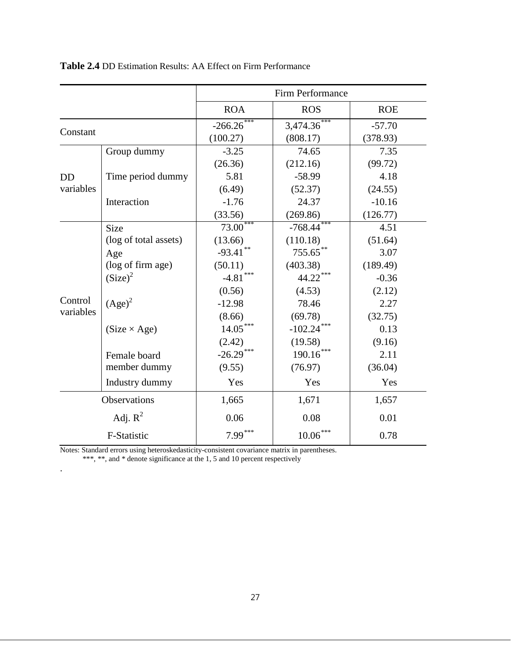|           |                       | Firm Performance |                 |            |  |
|-----------|-----------------------|------------------|-----------------|------------|--|
|           |                       | <b>ROA</b>       | <b>ROS</b>      | <b>ROE</b> |  |
|           |                       | $-266.26$        | 3,474.36        | $-57.70$   |  |
| Constant  |                       | (100.27)         | (808.17)        | (378.93)   |  |
|           | Group dummy           | $-3.25$          | 74.65           | 7.35       |  |
|           |                       | (26.36)          | (212.16)        | (99.72)    |  |
| <b>DD</b> | Time period dummy     | 5.81             | $-58.99$        | 4.18       |  |
| variables |                       | (6.49)           | (52.37)         | (24.55)    |  |
|           | Interaction           | $-1.76$          | 24.37           | $-10.16$   |  |
|           |                       | (33.56)          | (269.86)        | (126.77)   |  |
|           | Size                  | $73.00***$       | $-768.44***$    | 4.51       |  |
|           | (log of total assets) | (13.66)          | (110.18)        | (51.64)    |  |
|           | Age                   | $-93.41$ **      | 755.65**        | 3.07       |  |
|           | (log of firm age)     | (50.11)          | (403.38)        | (189.49)   |  |
|           | (Size) <sup>2</sup>   | $-4.81$ ***      | 44.22***        | $-0.36$    |  |
|           |                       | (0.56)           | (4.53)          | (2.12)     |  |
| Control   | $(Age)^2$             | $-12.98$         | 78.46           | 2.27       |  |
| variables |                       | (8.66)           | (69.78)         | (32.75)    |  |
|           | $(Size \times Age)$   | $14.05***$       | $-102.24***$    | 0.13       |  |
|           |                       | (2.42)           | (19.58)         | (9.16)     |  |
|           | Female board          | $-26.29***$      | 190.16          | 2.11       |  |
|           | member dummy          | (9.55)           | (76.97)         | (36.04)    |  |
|           | Industry dummy        | Yes              | Yes             | Yes        |  |
|           | <b>Observations</b>   | 1,665            | 1,671           | 1,657      |  |
|           | Adj. $R^2$            | 0.06             | 0.08            | 0.01       |  |
|           | F-Statistic           | $7.99***$        | $10.06\sp{***}$ | 0.78       |  |

# **Table 2.4** DD Estimation Results: AA Effect on Firm Performance

Notes: Standard errors using heteroskedasticity-consistent covariance matrix in parentheses.

\*\*\*, \*\*, and \* denote significance at the 1, 5 and 10 percent respectively

.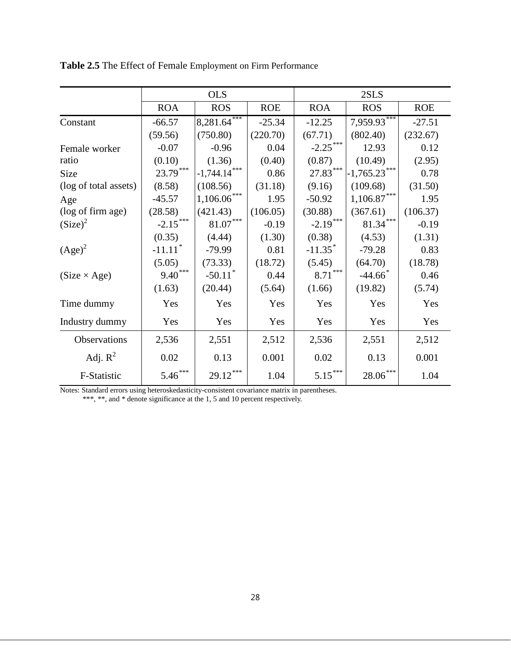|                       | <b>OLS</b>            |                               |            | 2SLS                  |                       |            |
|-----------------------|-----------------------|-------------------------------|------------|-----------------------|-----------------------|------------|
|                       | <b>ROA</b>            | <b>ROS</b>                    | <b>ROE</b> | <b>ROA</b>            | <b>ROS</b>            | <b>ROE</b> |
| Constant              | $-66.57$              | $8,281.64***$                 | $-25.34$   | $-12.25$              | $7,959.93$ ***        | $-27.51$   |
|                       | (59.56)               | (750.80)                      | (220.70)   | (67.71)               | (802.40)              | (232.67)   |
| Female worker         | $-0.07$               | $-0.96$                       | 0.04       | $-2.25***$            | 12.93                 | 0.12       |
| ratio                 | (0.10)                | (1.36)                        | (0.40)     | (0.87)                | (10.49)               | (2.95)     |
| Size                  | 23.79***              | $-1,744.14***$                | 0.86       | $27.83***$            | $-1,765.23***$        | 0.78       |
| (log of total assets) | (8.58)                | (108.56)                      | (31.18)    | (9.16)                | (109.68)              | (31.50)    |
| Age                   | $-45.57$              | $1,106.06***$                 | 1.95       | $-50.92$              | $1,106.87***$         | 1.95       |
| (log of firm age)     | (28.58)               | (421.43)                      | (106.05)   | (30.88)               | (367.61)              | (106.37)   |
| (Size) <sup>2</sup>   | $-2.15***$            | $\text{81.07}^{\ast\ast\ast}$ | $-0.19$    | $-2.19***$            | $81.34***$            | $-0.19$    |
|                       | (0.35)                | (4.44)                        | (1.30)     | (0.38)                | (4.53)                | (1.31)     |
| $(Age)^2$             | $-11.11$ <sup>*</sup> | $-79.99$                      | 0.81       | $-11.35$ <sup>*</sup> | $-79.28$              | 0.83       |
|                       | (5.05)                | (73.33)                       | (18.72)    | (5.45)                | (64.70)               | (18.78)    |
| $(Size \times Age)$   | $9.40***$             | $-50.11$ <sup>*</sup>         | 0.44       | $8.71***$             | $-44.66$ <sup>*</sup> | 0.46       |
|                       | (1.63)                | (20.44)                       | (5.64)     | (1.66)                | (19.82)               | (5.74)     |
| Time dummy            | Yes                   | Yes                           | Yes        | Yes                   | Yes                   | Yes        |
| Industry dummy        | Yes                   | Yes                           | Yes        | Yes                   | Yes                   | Yes        |
| Observations          | 2,536                 | 2,551                         | 2,512      | 2,536                 | 2,551                 | 2,512      |
| Adj. $R^2$            | 0.02                  | 0.13                          | 0.001      | 0.02                  | 0.13                  | 0.001      |
| F-Statistic           | $5.46***$             | $29.12***$                    | 1.04       | $5.15***$             | ***<br>28.06          | 1.04       |

**Table 2.5** The Effect of Female Employment on Firm Performance

Notes: Standard errors using heteroskedasticity-consistent covariance matrix in parentheses.

\*\*\*, \*\*, and \* denote significance at the 1, 5 and 10 percent respectively.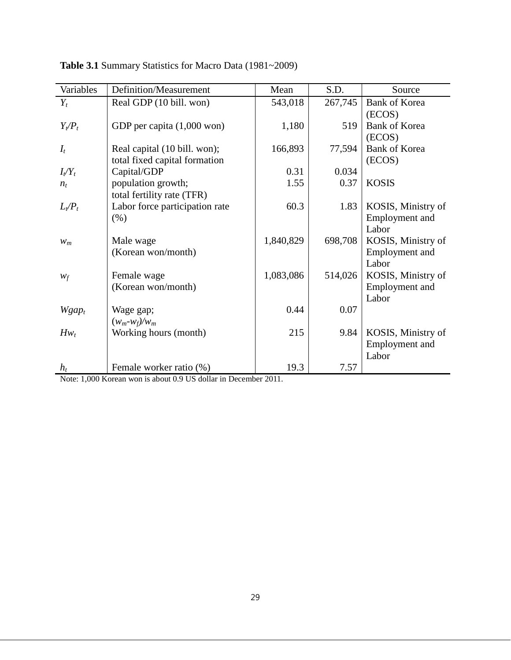| Variables | Definition/Measurement         | Mean      | S.D.    | Source                |
|-----------|--------------------------------|-----------|---------|-----------------------|
| $Y_t$     | Real GDP (10 bill. won)        | 543,018   | 267,745 | <b>Bank of Korea</b>  |
|           |                                |           |         | (ECOS)                |
| $Y_t/P_t$ | GDP per capita (1,000 won)     | 1,180     | 519     | <b>Bank of Korea</b>  |
|           |                                |           |         | (ECOS)                |
| $I_t$     | Real capital (10 bill. won);   | 166,893   | 77,594  | Bank of Korea         |
|           | total fixed capital formation  |           |         | (ECOS)                |
| $I_t/Y_t$ | Capital/GDP                    | 0.31      | 0.034   |                       |
| $n_{t}$   | population growth;             | 1.55      | 0.37    | <b>KOSIS</b>          |
|           | total fertility rate (TFR)     |           |         |                       |
| $L_t/P_t$ | Labor force participation rate | 60.3      | 1.83    | KOSIS, Ministry of    |
|           | (% )                           |           |         | Employment and        |
|           |                                |           |         | Labor                 |
| $W_m$     | Male wage                      | 1,840,829 | 698,708 | KOSIS, Ministry of    |
|           | (Korean won/month)             |           |         | Employment and        |
|           |                                |           |         | Labor                 |
| $W_f$     | Female wage                    | 1,083,086 | 514,026 | KOSIS, Ministry of    |
|           | (Korean won/month)             |           |         | Employment and        |
|           |                                |           |         | Labor                 |
| $W gap_t$ | Wage gap;                      | 0.44      | 0.07    |                       |
|           | $(w_m-w_f)/w_m$                |           |         |                       |
| $Hw_t$    | Working hours (month)          | 215       | 9.84    | KOSIS, Ministry of    |
|           |                                |           |         | <b>Employment</b> and |
|           |                                |           |         | Labor                 |
| $h_t$     | Female worker ratio (%)        | 19.3      | 7.57    |                       |

Table 3.1 Summary Statistics for Macro Data (1981~2009)

Note: 1,000 Korean won is about 0.9 US dollar in December 2011.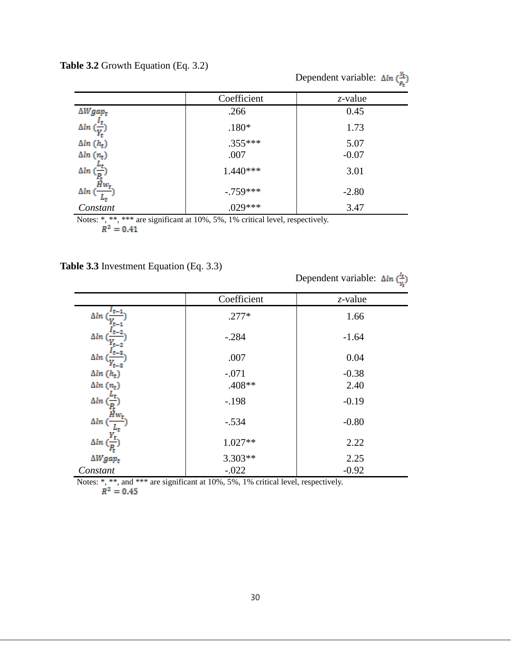| <b>Table 3.2</b> Growth Equation (Eq. 3.2) |  |  |
|--------------------------------------------|--|--|
|--------------------------------------------|--|--|

|                                     | $\sim$ 1<br>$\overline{\phantom{a}}$ | Dependent variable: $\Delta ln\left(\frac{Y_t}{n}\right)$ |
|-------------------------------------|--------------------------------------|-----------------------------------------------------------|
|                                     | Coefficient                          | $z$ -value                                                |
| $\Delta W gap_t$                    | .266                                 | 0.45                                                      |
| $\Delta ln\left(\frac{v}{V}\right)$ | $.180*$                              | 1.73                                                      |
| $\Delta ln(h_t)$                    | $.355***$                            | 5.07                                                      |
| $\Delta ln(n_t)$                    | .007                                 | $-0.07$                                                   |
| $\Delta ln\left(\frac{1}{p}\right)$ | $1.440***$                           | 3.01                                                      |
| $\Delta ln$ ( $\frac{H}{L}$         | $-.759***$                           | $-2.80$                                                   |
| Constant                            | $.029***$                            | 3.47                                                      |

Notes: \*, \*\*, \*\*\* are significant at 10%, 5%, 1% critical level, respectively.

# **Table 3.3** Investment Equation (Eq. 3.3)

Dependent variable:  $\Delta ln \left( \frac{I_t}{v_t} \right)$ 

|                  | Coefficient | $z$ -value |
|------------------|-------------|------------|
| $\Delta lm$      | $.277*$     | 1.66       |
| $\Delta ln$      | $-.284$     | $-1.64$    |
| Δln              | .007        | 0.04       |
| $\Delta ln(h_t)$ | $-.071$     | $-0.38$    |
| $\Delta ln(n_t)$ | .408**      | 2.40       |
| $\Delta lm$      | $-.198$     | $-0.19$    |
| $\Delta ln$ (    | $-.534$     | $-0.80$    |
| $\Delta ln$      | 1.027**     | 2.22       |
| $\Delta W gap_t$ | 3.303**     | 2.25       |
| Constant         | $-.022$     | $-0.92$    |

Notes: \*, \*\*, and \*\*\* are significant at 10%, 5%, 1% critical level, respectively.

$$
R^2=0.45
$$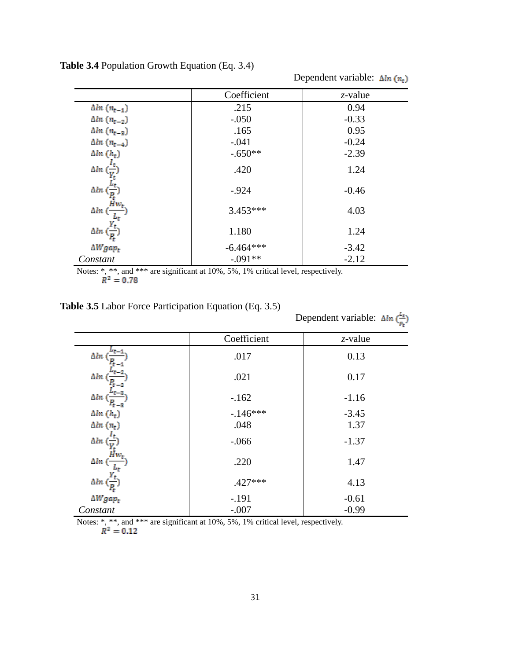|                                                    | Coefficient | $z$ -value |
|----------------------------------------------------|-------------|------------|
| $\Delta ln(n_{t-1})$                               | .215        | 0.94       |
| $\Delta ln(n_{t-2})$                               | $-.050$     | $-0.33$    |
| $\Delta ln(n_{t-3})$                               | .165        | 0.95       |
| $\Delta ln (n_{t-4})$                              | $-.041$     | $-0.24$    |
| $\Delta ln(h_t)$                                   | $-.650**$   | $-2.39$    |
| $\Delta ln\left(\frac{I_t}{Y_t}\right)$            | .420        | 1.24       |
| $\frac{\Delta ln\left(\frac{L}{P_t}\right)}{Hw_t}$ | $-.924$     | $-0.46$    |
| $\Delta ln$ (                                      | $3.453***$  | 4.03       |
| $\Delta ln\left(\frac{1}{P_t}\right)$              | 1.180       | 1.24       |
| $\Delta W gap_t$                                   | $-6.464***$ | $-3.42$    |
| Constant                                           | $-.091**$   | $-2.12$    |

**Table 3.4** Population Growth Equation (Eq. 3.4)

|              | Notes: *, **, and *** are significant at 10%, 5%, 1% critical level, respectively. |  |  |  |
|--------------|------------------------------------------------------------------------------------|--|--|--|
| $R^2 = 0.78$ |                                                                                    |  |  |  |

| <b>Table 3.5</b> Labor Force Participation Equation (Eq. 3.5) |  |  |
|---------------------------------------------------------------|--|--|
|---------------------------------------------------------------|--|--|

|                  |             | r.         |
|------------------|-------------|------------|
|                  | Coefficient | $z$ -value |
| $\Delta ln$      | .017        | 0.13       |
| $\Delta ln$      | .021        | 0.17       |
| $\Delta ln$      | $-.162$     | $-1.16$    |
| $\Delta ln(h_t)$ | $-146***$   | $-3.45$    |
| $\Delta ln(n_t)$ | .048        | 1.37       |
| $\Delta ln$      | $-.066$     | $-1.37$    |
| $\Delta ln$ (    | .220        | 1.47       |
| $\Delta ln$      | $.427***$   | 4.13       |
| $\Delta W gap_t$ | $-.191$     | $-0.61$    |
| Constant         | $-.007$     | $-0.99$    |

Dependent variable:  $\Delta ln\left(\frac{L_{\text{t}}}{R}\right)$ 

Dependent variable:  $\Delta ln (n_t)$ 

Notes: \*, \*\*, and \*\*\* are significant at 10%, 5%, 1% critical level, respectively.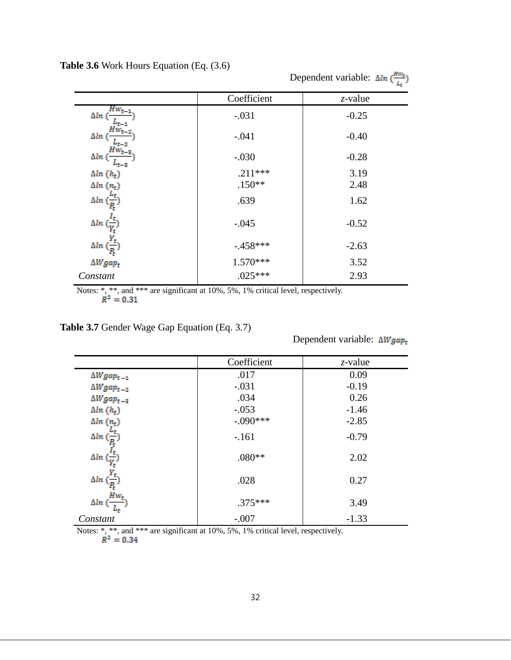|                                         |             | Dependent variable: $\Delta ln\left(\frac{Hw_t}{l}\right)$ |
|-----------------------------------------|-------------|------------------------------------------------------------|
|                                         | Coefficient | z-value                                                    |
| $Hw_{t-}$<br>$\Delta ln$ (              | $-.031$     | $-0.25$                                                    |
| $\Delta ln$ (                           | $-.041$     | $-0.40$                                                    |
| Δln (                                   | $-.030$     | $-0.28$                                                    |
| $\Delta ln(h_t)$                        | $.211***$   | 3.19                                                       |
| $\Delta ln(n_t)$                        | $.150**$    | 2.48                                                       |
| $\Delta ln\ (\frac{1}{P_{\rm t}})$      | .639        | 1.62                                                       |
| $\Delta ln\left(\frac{t}{Y_t}\right)$   | $-.045$     | $-0.52$                                                    |
| $\Delta ln\left(\frac{r_t}{P_t}\right)$ | $-.458***$  | $-2.63$                                                    |
| $\Delta W gap_t$                        | $1.570***$  | 3.52                                                       |
| Constant                                | $.025***$   | 2.93                                                       |

**Table 3.6** Work Hours Equation (Eq. (3.6)

Notes: \*, \*\*, and \*\*\* are significant at 10%, 5%, 1% critical level, respectively.<br> $R^2 = 0.31$ 

**Table 3.7** Gender Wage Gap Equation (Eq. 3.7)

Dependent variable:  $\Delta W gap_t$ 

|                                       | Coefficient | $z$ -value |
|---------------------------------------|-------------|------------|
| $\Delta W gap_{t-1}$                  | .017        | 0.09       |
| $\Delta W gap_{t-2}$                  | $-.031$     | $-0.19$    |
| $\Delta W gap_{t-3}$                  | .034        | 0.26       |
| $\Delta ln(h_t)$                      | $-.053$     | $-1.46$    |
| $\Delta ln(n_t)$                      | $-.090***$  | $-2.85$    |
| $\Delta ln$ (                         | $-.161$     | $-0.79$    |
| $\Delta ln\left(\frac{4t}{V}\right)$  | $.080**$    | 2.02       |
| $\Delta ln\left(\frac{L}{P_t}\right)$ | .028        | 0.27       |
| $Hw_t$<br>$\Delta ln$ (               | $.375***$   | 3.49       |
| Constant                              | $-.007$     | $-1.33$    |

Notes: \*, \*\*, and \*\*\* are significant at 10%, 5%, 1% critical level, respectively.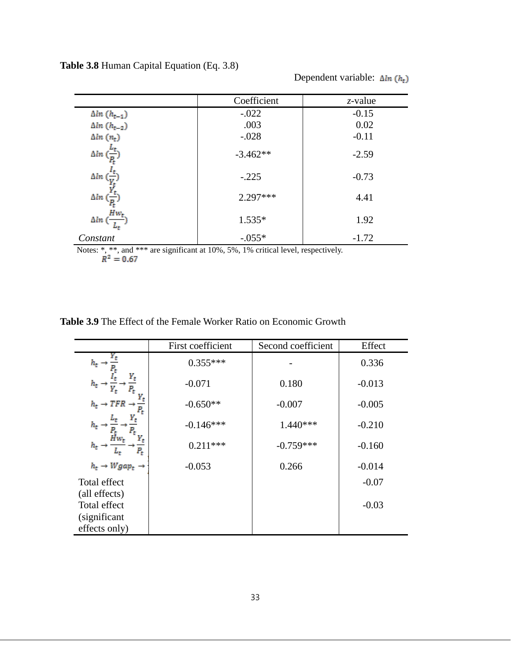**Table 3.8** Human Capital Equation (Eq. 3.8)

| Dependent variable: $\Delta ln(h_t)$ |  |
|--------------------------------------|--|
|--------------------------------------|--|

|                                                                                                    | Coefficient | $z$ -value |  |  |  |
|----------------------------------------------------------------------------------------------------|-------------|------------|--|--|--|
| $\Delta ln(h_{t-1})$                                                                               | $-.022$     | $-0.15$    |  |  |  |
| $\Delta ln(h_{t-2})$                                                                               | .003        | 0.02       |  |  |  |
| $\Delta ln(n_t)$                                                                                   | $-.028$     | $-0.11$    |  |  |  |
| $\Delta ln$                                                                                        | $-3.462**$  | $-2.59$    |  |  |  |
| $\Delta ln$                                                                                        | $-.225$     | $-0.73$    |  |  |  |
| $\Delta ln\left(\frac{1}{p}\right)$                                                                | $2.297***$  | 4.41       |  |  |  |
| $\Delta ln\ (\frac{Hw_t}{\cdot})$                                                                  | $1.535*$    | 1.92       |  |  |  |
| Constant                                                                                           | $-.055*$    | $-1.72$    |  |  |  |
| Notes: *, **, and *** are significant at 10%, 5%, 1% critical level, respectively.<br>$R^2 = 0.67$ |             |            |  |  |  |

| <b>Table 3.9</b> The Effect of the Female Worker Ratio on Economic Growth |  |  |  |  |  |  |  |  |  |  |  |
|---------------------------------------------------------------------------|--|--|--|--|--|--|--|--|--|--|--|
|---------------------------------------------------------------------------|--|--|--|--|--|--|--|--|--|--|--|

|                                               | First coefficient | Second coefficient | Effect   |
|-----------------------------------------------|-------------------|--------------------|----------|
| $h_t$ .                                       | $0.355***$        |                    | 0.336    |
| $h_t$                                         | $-0.071$          | 0.180              | $-0.013$ |
| $h_t \rightarrow TFR$                         | $-0.650**$        | $-0.007$           | $-0.005$ |
| $h_t$                                         | $-0.146***$       | $1.440***$         | $-0.210$ |
| $h_t \rightarrow$<br>$P_t$                    | $0.211***$        | $-0.759***$        | $-0.160$ |
| $h_t \rightarrow Wgap_t \rightarrow$          | $-0.053$          | 0.266              | $-0.014$ |
| Total effect                                  |                   |                    | $-0.07$  |
| (all effects)<br>Total effect<br>(significant |                   |                    | $-0.03$  |
| effects only)                                 |                   |                    |          |